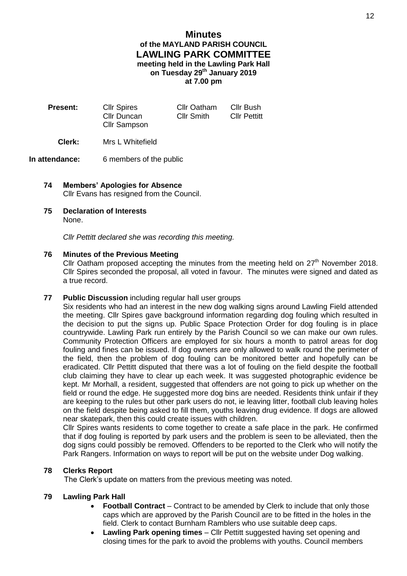# **Minutes of the MAYLAND PARISH COUNCIL LAWLING PARK COMMITTEE meeting held in the Lawling Park Hall on Tuesday 29 th January 2019 at 7.00 pm**

| <b>Present:</b> | <b>Cllr Spires</b><br>Cllr Duncan<br><b>Cllr Sampson</b> | <b>Cllr Oatham</b><br>Cllr Smith | Cllr Bush<br><b>Cllr Pettitt</b> |
|-----------------|----------------------------------------------------------|----------------------------------|----------------------------------|
|                 |                                                          |                                  |                                  |

# **Clerk:** Mrs L Whitefield

#### **In attendance:** 6 members of the public

# **74 Members' Apologies for Absence** Cllr Evans has resigned from the Council.

**75 Declaration of Interests** None.

*Cllr Pettitt declared she was recording this meeting.*

# **76 Minutes of the Previous Meeting**

Cllr Oatham proposed accepting the minutes from the meeting held on  $27<sup>th</sup>$  November 2018. Cllr Spires seconded the proposal, all voted in favour. The minutes were signed and dated as a true record.

# **77 Public Discussion** including regular hall user groups

Six residents who had an interest in the new dog walking signs around Lawling Field attended the meeting. Cllr Spires gave background information regarding dog fouling which resulted in the decision to put the signs up. Public Space Protection Order for dog fouling is in place countrywide. Lawling Park run entirely by the Parish Council so we can make our own rules. Community Protection Officers are employed for six hours a month to patrol areas for dog fouling and fines can be issued. If dog owners are only allowed to walk round the perimeter of the field, then the problem of dog fouling can be monitored better and hopefully can be eradicated. Cllr Pettitt disputed that there was a lot of fouling on the field despite the football club claiming they have to clear up each week. It was suggested photographic evidence be kept. Mr Morhall, a resident, suggested that offenders are not going to pick up whether on the field or round the edge. He suggested more dog bins are needed. Residents think unfair if they are keeping to the rules but other park users do not, ie leaving litter, football club leaving holes on the field despite being asked to fill them, youths leaving drug evidence. If dogs are allowed near skatepark, then this could create issues with children.

Cllr Spires wants residents to come together to create a safe place in the park. He confirmed that if dog fouling is reported by park users and the problem is seen to be alleviated, then the dog signs could possibly be removed. Offenders to be reported to the Clerk who will notify the Park Rangers. Information on ways to report will be put on the website under Dog walking.

# **78 Clerks Report**

The Clerk's update on matters from the previous meeting was noted.

# **79 Lawling Park Hall**

- **Football Contract** Contract to be amended by Clerk to include that only those caps which are approved by the Parish Council are to be fitted in the holes in the field. Clerk to contact Burnham Ramblers who use suitable deep caps.
- **Lawling Park opening times** Cllr Pettitt suggested having set opening and closing times for the park to avoid the problems with youths. Council members